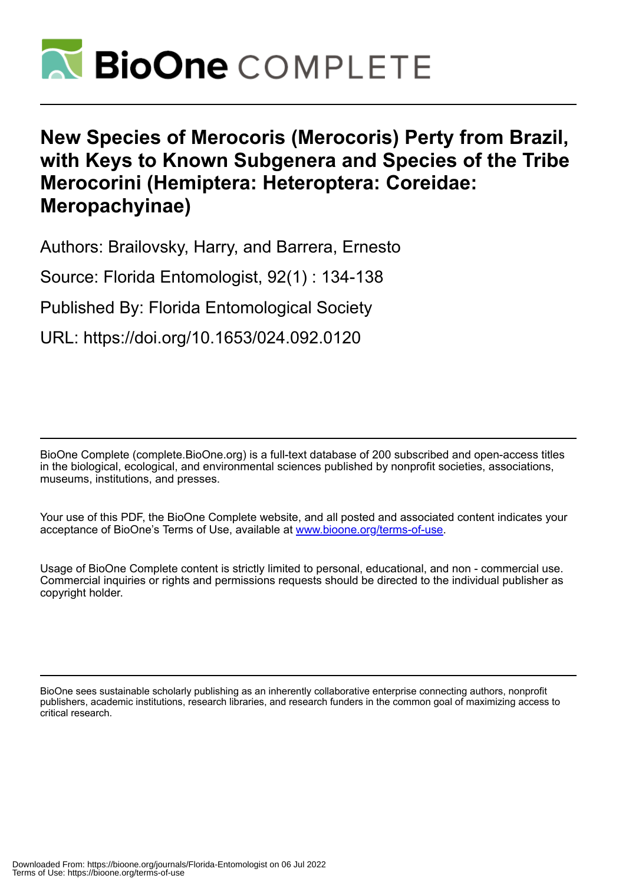

# **New Species of Merocoris (Merocoris) Perty from Brazil, with Keys to Known Subgenera and Species of the Tribe Merocorini (Hemiptera: Heteroptera: Coreidae: Meropachyinae)**

Authors: Brailovsky, Harry, and Barrera, Ernesto

Source: Florida Entomologist, 92(1) : 134-138

Published By: Florida Entomological Society

URL: https://doi.org/10.1653/024.092.0120

BioOne Complete (complete.BioOne.org) is a full-text database of 200 subscribed and open-access titles in the biological, ecological, and environmental sciences published by nonprofit societies, associations, museums, institutions, and presses.

Your use of this PDF, the BioOne Complete website, and all posted and associated content indicates your acceptance of BioOne's Terms of Use, available at www.bioone.org/terms-of-use.

Usage of BioOne Complete content is strictly limited to personal, educational, and non - commercial use. Commercial inquiries or rights and permissions requests should be directed to the individual publisher as copyright holder.

BioOne sees sustainable scholarly publishing as an inherently collaborative enterprise connecting authors, nonprofit publishers, academic institutions, research libraries, and research funders in the common goal of maximizing access to critical research.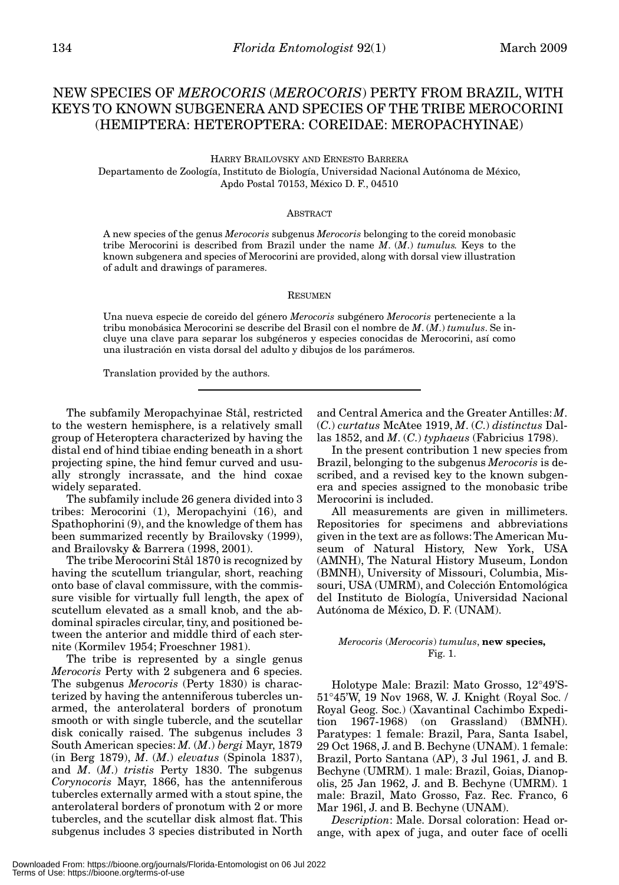# NEW SPECIES OF *MEROCORIS* (*MEROCORIS*) PERTY FROM BRAZIL, WITH KEYS TO KNOWN SUBGENERA AND SPECIES OF THE TRIBE MEROCORINI (HEMIPTERA: HETEROPTERA: COREIDAE: MEROPACHYINAE)

HARRY BRAILOVSKY AND ERNESTO BARRERA Departamento de Zoología, Instituto de Biología, Universidad Nacional Autónoma de México, Apdo Postal 70153, México D. F., 04510

#### **ABSTRACT**

A new species of the genus *Merocoris* subgenus *Merocoris* belonging to the coreid monobasic tribe Merocorini is described from Brazil under the name *M*. (*M*.) *tumulus.* Keys to the known subgenera and species of Merocorini are provided, along with dorsal view illustration of adult and drawings of parameres.

#### **RESUMEN**

Una nueva especie de coreido del género *Merocoris* subgénero *Merocoris* perteneciente a la tribu monobásica Merocorini se describe del Brasil con el nombre de *M*. (*M*.) *tumulus*. Se incluye una clave para separar los subgéneros y especies conocidas de Merocorini, así como una ilustración en vista dorsal del adulto y dibujos de los parámeros.

Translation provided by the authors.

The subfamily Meropachyinae Stål, restricted to the western hemisphere, is a relatively small group of Heteroptera characterized by having the distal end of hind tibiae ending beneath in a short projecting spine, the hind femur curved and usually strongly incrassate, and the hind coxae widely separated.

The subfamily include 26 genera divided into 3 tribes: Merocorini (1), Meropachyini (16), and Spathophorini (9), and the knowledge of them has been summarized recently by Brailovsky (1999), and Brailovsky & Barrera (1998, 2001).

The tribe Merocorini Stål 1870 is recognized by having the scutellum triangular, short, reaching onto base of claval commissure, with the commissure visible for virtually full length, the apex of scutellum elevated as a small knob, and the abdominal spiracles circular, tiny, and positioned between the anterior and middle third of each sternite (Kormilev 1954; Froeschner 1981).

The tribe is represented by a single genus *Merocoris* Perty with 2 subgenera and 6 species. The subgenus *Merocoris* (Perty 1830) is characterized by having the antenniferous tubercles unarmed, the anterolateral borders of pronotum smooth or with single tubercle, and the scutellar disk conically raised. The subgenus includes 3 South American species: *M.* (*M*.) *bergi* Mayr, 1879 (in Berg 1879), *M*. (*M*.) *elevatus* (Spinola 1837), and *M*. (*M*.) *tristis* Perty 1830. The subgenus *Corynocoris* Mayr, 1866, has the antenniferous tubercles externally armed with a stout spine, the anterolateral borders of pronotum with 2 or more tubercles, and the scutellar disk almost flat. This subgenus includes 3 species distributed in North

and Central America and the Greater Antilles: *M*. (*C*.) *curtatus* McAtee 1919, *M*. (*C*.) *distinctus* Dallas 1852, and *M*. (*C*.) *typhaeus* (Fabricius 1798).

In the present contribution 1 new species from Brazil, belonging to the subgenus *Merocoris* is described, and a revised key to the known subgenera and species assigned to the monobasic tribe Merocorini is included.

All measurements are given in millimeters. Repositories for specimens and abbreviations given in the text are as follows: The American Museum of Natural History, New York, USA (AMNH), The Natural History Museum, London (BMNH), University of Missouri, Columbia, Missouri, USA (UMRM), and Colección Entomológica del Instituto de Biología, Universidad Nacional Autónoma de México, D. F. (UNAM).

#### *Merocoris* (*Merocoris*) *tumulus*, **new species,** Fig. 1.

Holotype Male: Brazil: Mato Grosso, 12°49'S-51°45'W, 19 Nov 1968, W. J. Knight (Royal Soc. / Royal Geog. Soc.) (Xavantinal Cachimbo Expedition 1967-1968) (on Grassland) (BMNH). Paratypes: 1 female: Brazil, Para, Santa Isabel, 29 Oct 1968, J. and B. Bechyne (UNAM). 1 female: Brazil, Porto Santana (AP), 3 Jul 1961, J. and B. Bechyne (UMRM). 1 male: Brazil, Goias, Dianopolis, 25 Jan 1962, J. and B. Bechyne (UMRM). 1 male: Brazil, Mato Grosso, Faz. Rec. Franco, 6 Mar 196l, J. and B. Bechyne (UNAM).

*Description*: Male. Dorsal coloration: Head orange, with apex of juga, and outer face of ocelli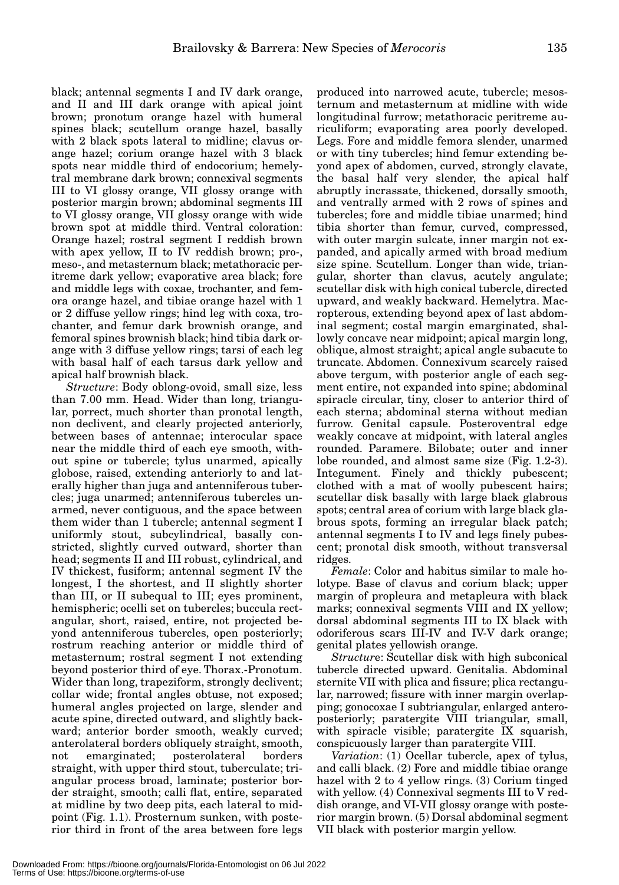black; antennal segments I and IV dark orange, and II and III dark orange with apical joint brown; pronotum orange hazel with humeral spines black; scutellum orange hazel, basally with 2 black spots lateral to midline; clavus orange hazel; corium orange hazel with 3 black spots near middle third of endocorium; hemelytral membrane dark brown; connexival segments III to VI glossy orange, VII glossy orange with posterior margin brown; abdominal segments III to VI glossy orange, VII glossy orange with wide brown spot at middle third. Ventral coloration: Orange hazel; rostral segment I reddish brown with apex yellow, II to IV reddish brown; pro-, meso-, and metasternum black; metathoracic peritreme dark yellow; evaporative area black; fore and middle legs with coxae, trochanter, and femora orange hazel, and tibiae orange hazel with 1 or 2 diffuse yellow rings; hind leg with coxa, trochanter, and femur dark brownish orange, and femoral spines brownish black; hind tibia dark orange with 3 diffuse yellow rings; tarsi of each leg with basal half of each tarsus dark yellow and apical half brownish black.

*Structure*: Body oblong-ovoid, small size, less than 7.00 mm. Head. Wider than long, triangular, porrect, much shorter than pronotal length, non declivent, and clearly projected anteriorly, between bases of antennae; interocular space near the middle third of each eye smooth, without spine or tubercle; tylus unarmed, apically globose, raised, extending anteriorly to and laterally higher than juga and antenniferous tubercles; juga unarmed; antenniferous tubercles unarmed, never contiguous, and the space between them wider than 1 tubercle; antennal segment I uniformly stout, subcylindrical, basally constricted, slightly curved outward, shorter than head; segments II and III robust, cylindrical, and IV thickest, fusiform; antennal segment IV the longest, I the shortest, and II slightly shorter than III, or II subequal to III; eyes prominent, hemispheric; ocelli set on tubercles; buccula rectangular, short, raised, entire, not projected beyond antenniferous tubercles, open posteriorly; rostrum reaching anterior or middle third of metasternum; rostral segment I not extending beyond posterior third of eye. Thorax.-Pronotum. Wider than long, trapeziform, strongly declivent; collar wide; frontal angles obtuse, not exposed; humeral angles projected on large, slender and acute spine, directed outward, and slightly backward; anterior border smooth, weakly curved; anterolateral borders obliquely straight, smooth, not emarginated; posterolateral borders straight, with upper third stout, tuberculate; triangular process broad, laminate; posterior border straight, smooth; calli flat, entire, separated at midline by two deep pits, each lateral to midpoint (Fig. 1.1). Prosternum sunken, with posterior third in front of the area between fore legs

produced into narrowed acute, tubercle; mesosternum and metasternum at midline with wide longitudinal furrow; metathoracic peritreme auriculiform; evaporating area poorly developed. Legs. Fore and middle femora slender, unarmed or with tiny tubercles; hind femur extending beyond apex of abdomen, curved, strongly clavate, the basal half very slender, the apical half abruptly incrassate, thickened, dorsally smooth, and ventrally armed with 2 rows of spines and tubercles; fore and middle tibiae unarmed; hind tibia shorter than femur, curved, compressed, with outer margin sulcate, inner margin not expanded, and apically armed with broad medium size spine. Scutellum. Longer than wide, triangular, shorter than clavus, acutely angulate; scutellar disk with high conical tubercle, directed upward, and weakly backward. Hemelytra. Macropterous, extending beyond apex of last abdominal segment; costal margin emarginated, shallowly concave near midpoint; apical margin long, oblique, almost straight; apical angle subacute to truncate. Abdomen. Connexivum scarcely raised above tergum, with posterior angle of each segment entire, not expanded into spine; abdominal spiracle circular, tiny, closer to anterior third of each sterna; abdominal sterna without median furrow. Genital capsule. Posteroventral edge weakly concave at midpoint, with lateral angles rounded. Paramere. Bilobate; outer and inner lobe rounded, and almost same size (Fig. 1.2-3). Integument. Finely and thickly pubescent; clothed with a mat of woolly pubescent hairs; scutellar disk basally with large black glabrous spots; central area of corium with large black glabrous spots, forming an irregular black patch; antennal segments I to IV and legs finely pubescent; pronotal disk smooth, without transversal ridges.

*Female*: Color and habitus similar to male holotype. Base of clavus and corium black; upper margin of propleura and metapleura with black marks; connexival segments VIII and IX yellow; dorsal abdominal segments III to IX black with odoriferous scars III-IV and IV-V dark orange; genital plates yellowish orange.

*Structur*e: Scutellar disk with high subconical tubercle directed upward. Genitalia. Abdominal sternite VII with plica and fissure; plica rectangular, narrowed; fissure with inner margin overlapping; gonocoxae I subtriangular, enlarged anteroposteriorly; paratergite VIII triangular, small, with spiracle visible; paratergite IX squarish, conspicuously larger than paratergite VIII.

*Variation*: (1) Ocellar tubercle, apex of tylus, and calli black. (2) Fore and middle tibiae orange hazel with 2 to 4 yellow rings. (3) Corium tinged with yellow. (4) Connexival segments III to V reddish orange, and VI-VII glossy orange with posterior margin brown. (5) Dorsal abdominal segment VII black with posterior margin yellow.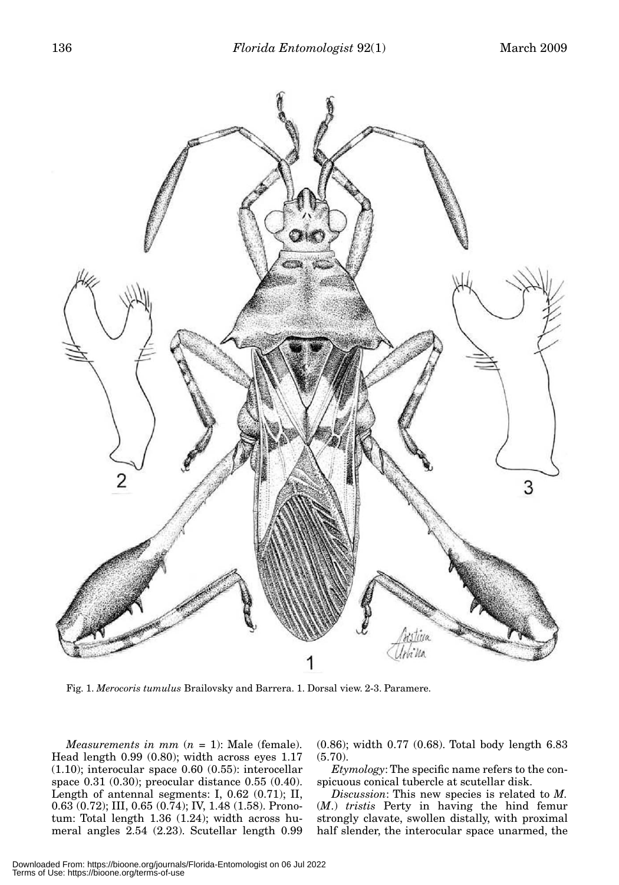

Fig. 1. *Merocoris tumulus* Brailovsky and Barrera. 1. Dorsal view. 2-3. Paramere.

*Measurements in mm*  $(n = 1)$ : Male (female). Head length 0.99 (0.80); width across eyes 1.17  $(1.10)$ ; interocular space 0.60  $(0.55)$ : interocellar space 0.31 (0.30); preocular distance 0.55 (0.40). Length of antennal segments: I, 0.62 (0.71); II, 0.63 (0.72); III, 0.65 (0.74); IV, 1.48 (1.58). Pronotum: Total length 1.36 (1.24); width across humeral angles 2.54 (2.23). Scutellar length 0.99 (0.86); width 0.77 (0.68). Total body length 6.83 (5.70).

*Etymology*: The specific name refers to the conspicuous conical tubercle at scutellar disk.

*Discussion*: This new species is related to *M.* (*M*.) *tristis* Perty in having the hind femur strongly clavate, swollen distally, with proximal half slender, the interocular space unarmed, the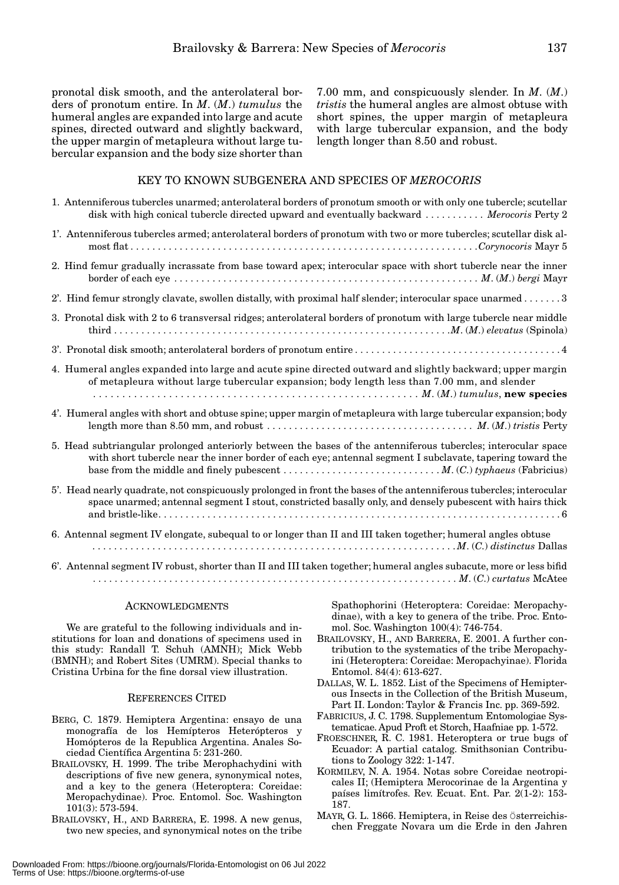pronotal disk smooth, and the anterolateral borders of pronotum entire. In *M*. (*M*.) *tumulus* the humeral angles are expanded into large and acute spines, directed outward and slightly backward, the upper margin of metapleura without large tubercular expansion and the body size shorter than

7.00 mm, and conspicuously slender. In *M*. (*M*.) *tristis* the humeral angles are almost obtuse with short spines, the upper margin of metapleura with large tubercular expansion, and the body length longer than 8.50 and robust.

### KEY TO KNOWN SUBGENERA AND SPECIES OF *MEROCORIS*

| 1. Antenniferous tubercles unarmed; anterolateral borders of pronotum smooth or with only one tubercle; scutellar<br>disk with high conical tubercle directed upward and eventually backward  Merocoris Perty 2                   |
|-----------------------------------------------------------------------------------------------------------------------------------------------------------------------------------------------------------------------------------|
| 1'. Antenniferous tubercles armed; anterolateral borders of pronotum with two or more tubercles; scutellar disk al-                                                                                                               |
| 2. Hind femur gradually incrassate from base toward apex; interocular space with short tubercle near the inner                                                                                                                    |
| 2'. Hind femur strongly clavate, swollen distally, with proximal half slender; interocular space unarmed 3                                                                                                                        |
| 3. Pronotal disk with 2 to 6 transversal ridges; anterolateral borders of pronotum with large tubercle near middle                                                                                                                |
|                                                                                                                                                                                                                                   |
| 4. Humeral angles expanded into large and acute spine directed outward and slightly backward; upper margin<br>of metapleura without large tubercular expansion; body length less than 7.00 mm, and slender                        |
| 4'. Humeral angles with short and obtuse spine; upper margin of metapleura with large tubercular expansion; body                                                                                                                  |
| 5. Head subtriangular prolonged anteriorly between the bases of the antenniferous tubercles; interocular space<br>with short tubercle near the inner border of each eye; antennal segment I subclavate, tapering toward the       |
| 5'. Head nearly quadrate, not conspicuously prolonged in front the bases of the antenniferous tubercles; interocular<br>space unarmed; antennal segment I stout, constricted basally only, and densely pubescent with hairs thick |
| 6. Antennal segment IV elongate, subequal to or longer than II and III taken together; humeral angles obtuse                                                                                                                      |
| 6'. Antennal segment IV robust, shorter than II and III taken together; humeral angles subacute, more or less bifid                                                                                                               |

# **ACKNOWLEDGMENTS**

We are grateful to the following individuals and institutions for loan and donations of specimens used in this study: Randall T. Schuh (AMNH); Mick Webb (BMNH); and Robert Sites (UMRM). Special thanks to Cristina Urbina for the fine dorsal view illustration.

## REFERENCES CITED

- BERG, C. 1879. Hemiptera Argentina: ensayo de una monografía de los Hemípteros Heterópteros y Homópteros de la Republica Argentina. Anales Sociedad Científica Argentina 5: 231-260.
- BRAILOVSKY, H. 1999. The tribe Merophachydini with descriptions of five new genera, synonymical notes, and a key to the genera (Heteroptera: Coreidae: Meropachydinae). Proc. Entomol. Soc. Washington 101(3): 573-594.
- BRAILOVSKY, H., AND BARRERA, E. 1998. A new genus, two new species, and synonymical notes on the tribe

Spathophorini (Heteroptera: Coreidae: Meropachydinae), with a key to genera of the tribe. Proc. Entomol. Soc. Washington 100(4): 746-754.

- BRAILOVSKY, H., AND BARRERA, E. 2001. A further contribution to the systematics of the tribe Meropachyini (Heteroptera: Coreidae: Meropachyinae). Florida Entomol. 84(4): 613-627.
- DALLAS, W. L. 1852. List of the Specimens of Hemipterous Insects in the Collection of the British Museum, Part II. London: Taylor & Francis Inc. pp. 369-592.
- FABRICIUS, J. C. 1798. Supplementum Entomologiae Systematicae. Apud Proft et Storch, Haafniae pp. 1-572.
- FROESCHNER, R. C. 1981. Heteroptera or true bugs of Ecuador: A partial catalog. Smithsonian Contributions to Zoology 322: 1-147.
- KORMILEV, N. A. 1954. Notas sobre Coreidae neotropicales II; (Hemiptera Merocorinae de la Argentina y países limítrofes. Rev. Ecuat. Ent. Par. 2(1-2): 153- 187.
- MAYR, G. L. 1866. Hemiptera, in Reise des Österreichischen Freggate Novara um die Erde in den Jahren